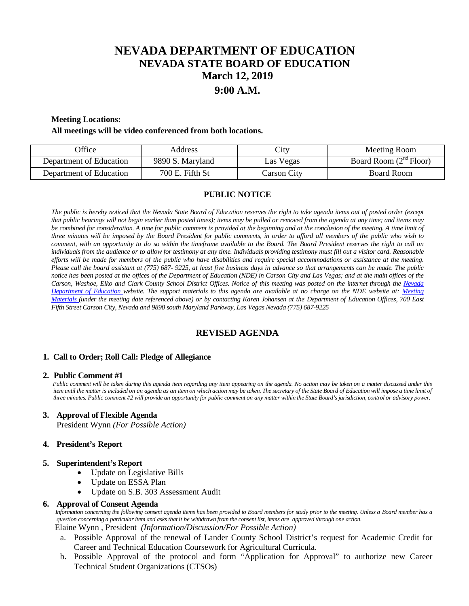# **NEVADA DEPARTMENT OF EDUCATION NEVADA STATE BOARD OF EDUCATION March 12, 2019 9:00 A.M.**

## **Meeting Locations:**

#### **All meetings will be video conferenced from both locations.**

| <b>Office</b>           | Address          | City        | Meeting Room             |
|-------------------------|------------------|-------------|--------------------------|
| Department of Education | 9890 S. Maryland | Las Vegas   | Board Room $(2nd Floor)$ |
| Department of Education | 700 E. Fifth St  | Carson City | Board Room               |

## **PUBLIC NOTICE**

*The public is hereby noticed that the Nevada State Board of Education reserves the right to take agenda items out of posted order (except that public hearings will not begin earlier than posted times); items may be pulled or removed from the agenda at any time; and items may* be combined for consideration. A time for public comment is provided at the beginning and at the conclusion of the meeting. A time limit of *three minutes will be imposed by the Board President for public comments, in order to afford all members of the public who wish to comment, with an opportunity to do so within the timeframe available to the Board. The Board President reserves the right to call on individuals from the audience or to allow for testimony at any time. Individuals providing testimony must fill out a visitor card. Reasonable efforts will be made for members of the public who have disabilities and require special accommodations or assistance at the meeting. Please call the board assistant at (775) 687- 9225, at least five business days in advance so that arrangements can be made. The public notice has been posted at the offices of the Department of Education (NDE) in Carson City and Las Vegas; and at the main offices of the Carson, Washoe, Elko and Clark County School District Offices. Notice of this meeting was posted on the internet through the Nevada Department of Education website. The support materials to this agenda are available at no charge on the NDE website at: [Meeting](http://www.doe.nv.gov/Boards_Commissions_Councils/State_Board_of_Education/MeetingMaterials/)  [Materials \(](http://www.doe.nv.gov/Boards_Commissions_Councils/State_Board_of_Education/MeetingMaterials/)under the meeting date referenced above) or by contacting Karen Johansen at the Department of Education Offices, 700 East Fifth Street Carson City, Nevada and 9890 south Maryland Parkway, Las Vegas Nevada (775) 687-9225*

# **REVISED AGENDA**

## **1. Call to Order; Roll Call: Pledge of Allegiance**

#### **2. Public Comment #1**

 *Public comment will be taken during this agenda item regarding any item appearing on the agenda. No action may be taken on a matter discussed under this item until the matter is included on an agenda as an item on which action may be taken. The secretary of the State Board of Education will impose a time limit of three minutes. Public comment #2 will provide an opportunity for public comment on any matter within the State Board's jurisdiction, control or advisory power.*

## **3. Approval of Flexible Agenda**

President Wynn *(For Possible Action)*

## **4. President's Report**

#### **5. Superintendent's Report**

- Update on Legislative Bills
- Update on ESSA Plan
- Update on S.B. 303 Assessment Audit

#### **6. Approval of Consent Agenda**

 *Information concerning the following consent agenda items has been provided to Board members for study prior to the meeting. Unless a Board member has a question concerning a particular item and asks that it be withdrawn from the consent list, items are approved through one action.* Elaine Wynn , President *(Information/Discussion/For Possible Action)*

- a. Possible Approval of the renewal of Lander County School District's request for Academic Credit for Career and Technical Education Coursework for Agricultural Curricula.
- b. Possible Approval of the protocol and form "Application for Approval" to authorize new Career Technical Student Organizations (CTSOs)